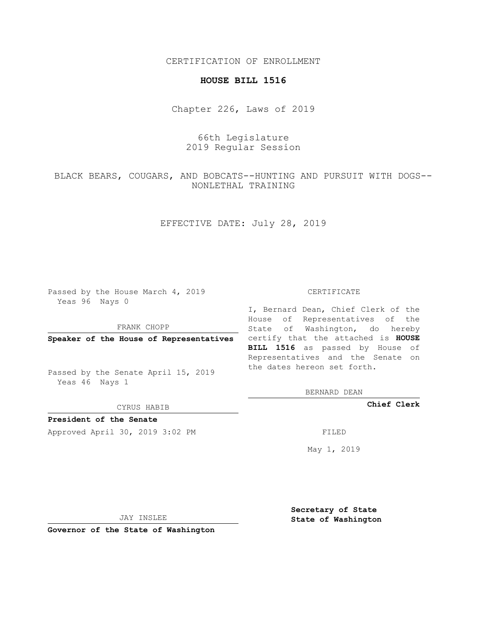CERTIFICATION OF ENROLLMENT

## **HOUSE BILL 1516**

Chapter 226, Laws of 2019

66th Legislature 2019 Regular Session

BLACK BEARS, COUGARS, AND BOBCATS--HUNTING AND PURSUIT WITH DOGS-- NONLETHAL TRAINING

EFFECTIVE DATE: July 28, 2019

Passed by the House March 4, 2019 Yeas 96 Nays 0

FRANK CHOPP

Passed by the Senate April 15, 2019 Yeas 46 Nays 1

CYRUS HABIB

**President of the Senate**

Approved April 30, 2019 3:02 PM FILED

## CERTIFICATE

**Speaker of the House of Representatives** certify that the attached is **HOUSE** I, Bernard Dean, Chief Clerk of the House of Representatives of the State of Washington, do hereby **BILL 1516** as passed by House of Representatives and the Senate on the dates hereon set forth.

BERNARD DEAN

**Chief Clerk**

May 1, 2019

JAY INSLEE

**Governor of the State of Washington**

**Secretary of State State of Washington**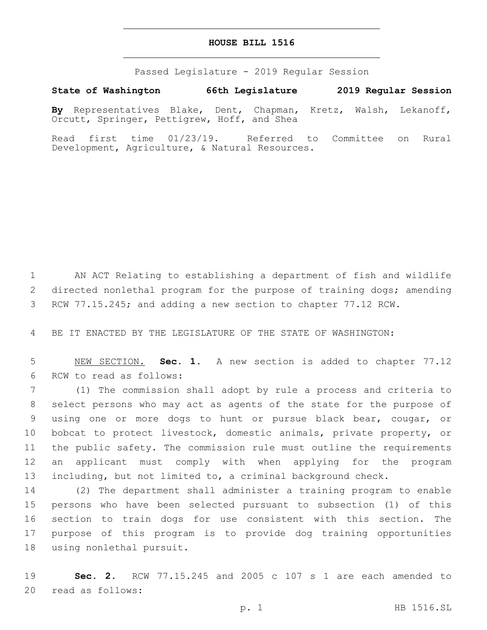## **HOUSE BILL 1516**

Passed Legislature - 2019 Regular Session

**State of Washington 66th Legislature 2019 Regular Session By** Representatives Blake, Dent, Chapman, Kretz, Walsh, Lekanoff, Orcutt, Springer, Pettigrew, Hoff, and Shea

Read first time 01/23/19. Referred to Committee on Rural Development, Agriculture, & Natural Resources.

 AN ACT Relating to establishing a department of fish and wildlife directed nonlethal program for the purpose of training dogs; amending RCW 77.15.245; and adding a new section to chapter 77.12 RCW.

BE IT ENACTED BY THE LEGISLATURE OF THE STATE OF WASHINGTON:

 NEW SECTION. **Sec. 1.** A new section is added to chapter 77.12 6 RCW to read as follows:

 (1) The commission shall adopt by rule a process and criteria to select persons who may act as agents of the state for the purpose of using one or more dogs to hunt or pursue black bear, cougar, or bobcat to protect livestock, domestic animals, private property, or the public safety. The commission rule must outline the requirements an applicant must comply with when applying for the program including, but not limited to, a criminal background check.

 (2) The department shall administer a training program to enable persons who have been selected pursuant to subsection (1) of this section to train dogs for use consistent with this section. The purpose of this program is to provide dog training opportunities 18 using nonlethal pursuit.

 **Sec. 2.** RCW 77.15.245 and 2005 c 107 s 1 are each amended to 20 read as follows: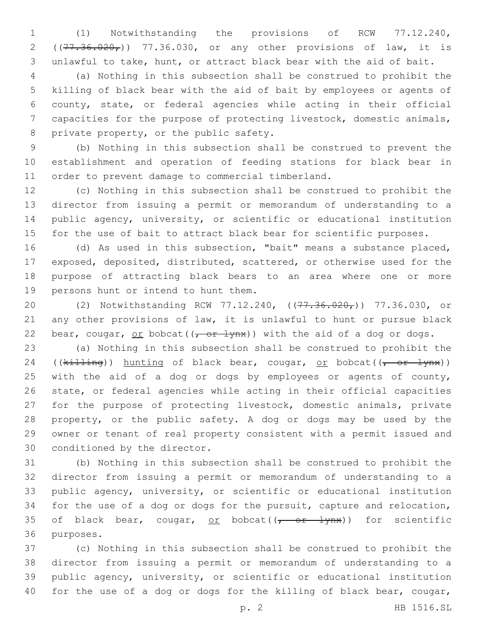(1) Notwithstanding the provisions of RCW 77.12.240, 2 ( $(77.36.020<sub>r</sub>)$ ) 77.36.030, or any other provisions of law, it is unlawful to take, hunt, or attract black bear with the aid of bait.

 (a) Nothing in this subsection shall be construed to prohibit the killing of black bear with the aid of bait by employees or agents of county, state, or federal agencies while acting in their official capacities for the purpose of protecting livestock, domestic animals, 8 private property, or the public safety.

 (b) Nothing in this subsection shall be construed to prevent the establishment and operation of feeding stations for black bear in 11 order to prevent damage to commercial timberland.

 (c) Nothing in this subsection shall be construed to prohibit the director from issuing a permit or memorandum of understanding to a public agency, university, or scientific or educational institution for the use of bait to attract black bear for scientific purposes.

 (d) As used in this subsection, "bait" means a substance placed, exposed, deposited, distributed, scattered, or otherwise used for the purpose of attracting black bears to an area where one or more 19 persons hunt or intend to hunt them.

20 (2) Notwithstanding RCW 77.12.240, ((77.36.020,)) 77.36.030, or any other provisions of law, it is unlawful to hunt or pursue black 22 bear, cougar, or bobcat( $(-6r + 1ynx)$ ) with the aid of a dog or dogs.

 (a) Nothing in this subsection shall be construed to prohibit the 24 (( $k$ illing)) hunting of black bear, cougar, or bobcat(( $\frac{r}{(r-1)(n+1)}$ ) 25 with the aid of a dog or dogs by employees or agents of county, state, or federal agencies while acting in their official capacities for the purpose of protecting livestock, domestic animals, private property, or the public safety. A dog or dogs may be used by the owner or tenant of real property consistent with a permit issued and 30 conditioned by the director.

 (b) Nothing in this subsection shall be construed to prohibit the director from issuing a permit or memorandum of understanding to a public agency, university, or scientific or educational institution for the use of a dog or dogs for the pursuit, capture and relocation, 35 of black bear, cougar, or bobcat( $(-$  or  $\frac{1}{2}$ ynx)) for scientific 36 purposes.

 (c) Nothing in this subsection shall be construed to prohibit the director from issuing a permit or memorandum of understanding to a public agency, university, or scientific or educational institution for the use of a dog or dogs for the killing of black bear, cougar,

p. 2 HB 1516.SL